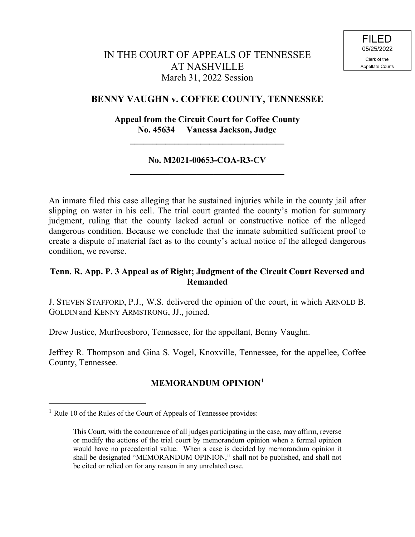## **BENNY VAUGHN v. COFFEE COUNTY, TENNESSEE**

# **Appeal from the Circuit Court for Coffee County No. 45634 Vanessa Jackson, Judge**

**\_\_\_\_\_\_\_\_\_\_\_\_\_\_\_\_\_\_\_\_\_\_\_\_\_\_\_\_\_\_\_\_\_\_\_**

## **No. M2021-00653-COA-R3-CV \_\_\_\_\_\_\_\_\_\_\_\_\_\_\_\_\_\_\_\_\_\_\_\_\_\_\_\_\_\_\_\_\_\_\_**

An inmate filed this case alleging that he sustained injuries while in the county jail after slipping on water in his cell. The trial court granted the county's motion for summary judgment, ruling that the county lacked actual or constructive notice of the alleged dangerous condition. Because we conclude that the inmate submitted sufficient proof to create a dispute of material fact as to the county's actual notice of the alleged dangerous condition, we reverse.

# **Tenn. R. App. P. 3 Appeal as of Right; Judgment of the Circuit Court Reversed and Remanded**

J. STEVEN STAFFORD, P.J., W.S. delivered the opinion of the court, in which ARNOLD B. GOLDIN and KENNY ARMSTRONG, JJ., joined.

Drew Justice, Murfreesboro, Tennessee, for the appellant, Benny Vaughn.

Jeffrey R. Thompson and Gina S. Vogel, Knoxville, Tennessee, for the appellee, Coffee County, Tennessee.

# **MEMORANDUM OPINION<sup>1</sup>**

 $\overline{a}$ 

<sup>&</sup>lt;sup>1</sup> Rule 10 of the Rules of the Court of Appeals of Tennessee provides:

This Court, with the concurrence of all judges participating in the case, may affirm, reverse or modify the actions of the trial court by memorandum opinion when a formal opinion would have no precedential value. When a case is decided by memorandum opinion it shall be designated "MEMORANDUM OPINION," shall not be published, and shall not be cited or relied on for any reason in any unrelated case.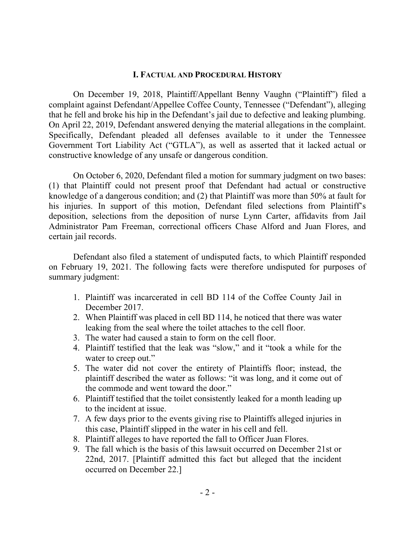#### **I. FACTUAL AND PROCEDURAL HISTORY**

On December 19, 2018, Plaintiff/Appellant Benny Vaughn ("Plaintiff") filed a complaint against Defendant/Appellee Coffee County, Tennessee ("Defendant"), alleging that he fell and broke his hip in the Defendant's jail due to defective and leaking plumbing. On April 22, 2019, Defendant answered denying the material allegations in the complaint. Specifically, Defendant pleaded all defenses available to it under the Tennessee Government Tort Liability Act ("GTLA"), as well as asserted that it lacked actual or constructive knowledge of any unsafe or dangerous condition.

On October 6, 2020, Defendant filed a motion for summary judgment on two bases: (1) that Plaintiff could not present proof that Defendant had actual or constructive knowledge of a dangerous condition; and (2) that Plaintiff was more than 50% at fault for his injuries. In support of this motion, Defendant filed selections from Plaintiff's deposition, selections from the deposition of nurse Lynn Carter, affidavits from Jail Administrator Pam Freeman, correctional officers Chase Alford and Juan Flores, and certain jail records.

Defendant also filed a statement of undisputed facts, to which Plaintiff responded on February 19, 2021. The following facts were therefore undisputed for purposes of summary judgment:

- 1. Plaintiff was incarcerated in cell BD 114 of the Coffee County Jail in December 2017.
- 2. When Plaintiff was placed in cell BD 114, he noticed that there was water leaking from the seal where the toilet attaches to the cell floor.
- 3. The water had caused a stain to form on the cell floor.
- 4. Plaintiff testified that the leak was "slow," and it "took a while for the water to creep out."
- 5. The water did not cover the entirety of Plaintiffs floor; instead, the plaintiff described the water as follows: "it was long, and it come out of the commode and went toward the door."
- 6. Plaintiff testified that the toilet consistently leaked for a month leading up to the incident at issue.
- 7. A few days prior to the events giving rise to Plaintiffs alleged injuries in this case, Plaintiff slipped in the water in his cell and fell.
- 8. Plaintiff alleges to have reported the fall to Officer Juan Flores.
- 9. The fall which is the basis of this lawsuit occurred on December 21st or 22nd, 2017. [Plaintiff admitted this fact but alleged that the incident occurred on December 22.]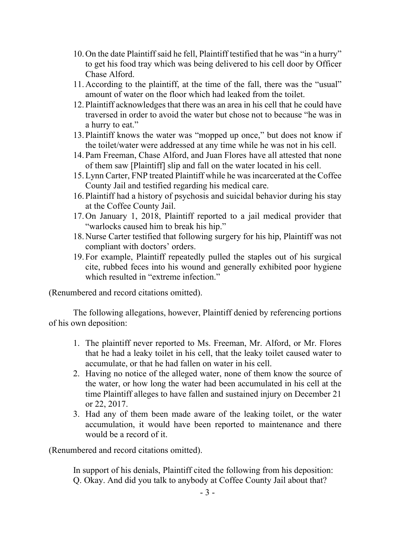- 10.On the date Plaintiff said he fell, Plaintiff testified that he was "in a hurry" to get his food tray which was being delivered to his cell door by Officer Chase Alford.
- 11.According to the plaintiff, at the time of the fall, there was the "usual" amount of water on the floor which had leaked from the toilet.
- 12.Plaintiff acknowledges that there was an area in his cell that he could have traversed in order to avoid the water but chose not to because "he was in a hurry to eat."
- 13.Plaintiff knows the water was "mopped up once," but does not know if the toilet/water were addressed at any time while he was not in his cell.
- 14.Pam Freeman, Chase Alford, and Juan Flores have all attested that none of them saw [Plaintiff] slip and fall on the water located in his cell.
- 15.Lynn Carter, FNP treated Plaintiff while he was incarcerated at the Coffee County Jail and testified regarding his medical care.
- 16.Plaintiff had a history of psychosis and suicidal behavior during his stay at the Coffee County Jail.
- 17.On January 1, 2018, Plaintiff reported to a jail medical provider that "warlocks caused him to break his hip."
- 18.Nurse Carter testified that following surgery for his hip, Plaintiff was not compliant with doctors' orders.
- 19.For example, Plaintiff repeatedly pulled the staples out of his surgical cite, rubbed feces into his wound and generally exhibited poor hygiene which resulted in "extreme infection."

(Renumbered and record citations omitted).

The following allegations, however, Plaintiff denied by referencing portions of his own deposition:

- 1. The plaintiff never reported to Ms. Freeman, Mr. Alford, or Mr. Flores that he had a leaky toilet in his cell, that the leaky toilet caused water to accumulate, or that he had fallen on water in his cell.
- 2. Having no notice of the alleged water, none of them know the source of the water, or how long the water had been accumulated in his cell at the time Plaintiff alleges to have fallen and sustained injury on December 21 or 22, 2017.
- 3. Had any of them been made aware of the leaking toilet, or the water accumulation, it would have been reported to maintenance and there would be a record of it.

(Renumbered and record citations omitted).

In support of his denials, Plaintiff cited the following from his deposition: Q. Okay. And did you talk to anybody at Coffee County Jail about that?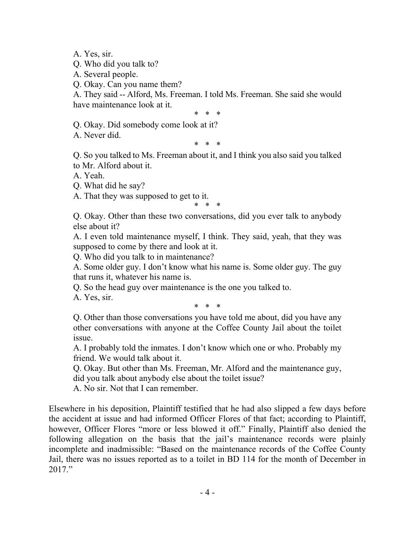A. Yes, sir.

Q. Who did you talk to?

A. Several people.

Q. Okay. Can you name them?

A. They said -- Alford, Ms. Freeman. I told Ms. Freeman. She said she would have maintenance look at it.

\* \* \*

Q. Okay. Did somebody come look at it?

A. Never did.

\* \* \*

Q. So you talked to Ms. Freeman about it, and I think you also said you talked to Mr. Alford about it.

A. Yeah.

Q. What did he say?

A. That they was supposed to get to it.

\* \* \* Q. Okay. Other than these two conversations, did you ever talk to anybody else about it?

A. I even told maintenance myself, I think. They said, yeah, that they was supposed to come by there and look at it.

Q. Who did you talk to in maintenance?

A. Some older guy. I don't know what his name is. Some older guy. The guy that runs it, whatever his name is.

Q. So the head guy over maintenance is the one you talked to.

A. Yes, sir.

\* \* \*

Q. Other than those conversations you have told me about, did you have any other conversations with anyone at the Coffee County Jail about the toilet issue.

A. I probably told the inmates. I don't know which one or who. Probably my friend. We would talk about it.

Q. Okay. But other than Ms. Freeman, Mr. Alford and the maintenance guy, did you talk about anybody else about the toilet issue?

A. No sir. Not that I can remember.

Elsewhere in his deposition, Plaintiff testified that he had also slipped a few days before the accident at issue and had informed Officer Flores of that fact; according to Plaintiff, however, Officer Flores "more or less blowed it off." Finally, Plaintiff also denied the following allegation on the basis that the jail's maintenance records were plainly incomplete and inadmissible: "Based on the maintenance records of the Coffee County Jail, there was no issues reported as to a toilet in BD 114 for the month of December in 2017."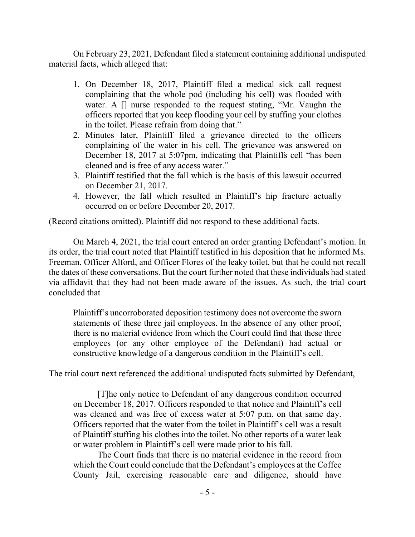On February 23, 2021, Defendant filed a statement containing additional undisputed material facts, which alleged that:

- 1. On December 18, 2017, Plaintiff filed a medical sick call request complaining that the whole pod (including his cell) was flooded with water. A [] nurse responded to the request stating, "Mr. Vaughn the officers reported that you keep flooding your cell by stuffing your clothes in the toilet. Please refrain from doing that."
- 2. Minutes later, Plaintiff filed a grievance directed to the officers complaining of the water in his cell. The grievance was answered on December 18, 2017 at 5:07pm, indicating that Plaintiffs cell "has been cleaned and is free of any access water."
- 3. Plaintiff testified that the fall which is the basis of this lawsuit occurred on December 21, 2017.
- 4. However, the fall which resulted in Plaintiff's hip fracture actually occurred on or before December 20, 2017.

(Record citations omitted). Plaintiff did not respond to these additional facts.

On March 4, 2021, the trial court entered an order granting Defendant's motion. In its order, the trial court noted that Plaintiff testified in his deposition that he informed Ms. Freeman, Officer Alford, and Officer Flores of the leaky toilet, but that he could not recall the dates of these conversations. But the court further noted that these individuals had stated via affidavit that they had not been made aware of the issues. As such, the trial court concluded that

Plaintiff's uncorroborated deposition testimony does not overcome the sworn statements of these three jail employees. In the absence of any other proof, there is no material evidence from which the Court could find that these three employees (or any other employee of the Defendant) had actual or constructive knowledge of a dangerous condition in the Plaintiff's cell.

The trial court next referenced the additional undisputed facts submitted by Defendant,

[T]he only notice to Defendant of any dangerous condition occurred on December 18, 2017. Officers responded to that notice and Plaintiff's cell was cleaned and was free of excess water at 5:07 p.m. on that same day. Officers reported that the water from the toilet in Plaintiff's cell was a result of Plaintiff stuffing his clothes into the toilet. No other reports of a water leak or water problem in Plaintiff's cell were made prior to his fall.

The Court finds that there is no material evidence in the record from which the Court could conclude that the Defendant's employees at the Coffee County Jail, exercising reasonable care and diligence, should have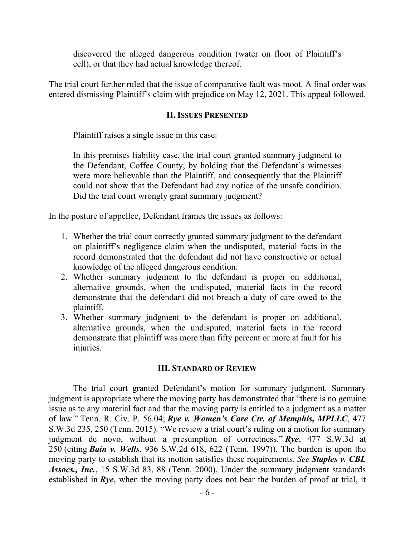discovered the alleged dangerous condition (water on floor of Plaintiff's cell), or that they had actual knowledge thereof.

The trial court further ruled that the issue of comparative fault was moot. A final order was entered dismissing Plaintiff's claim with prejudice on May 12, 2021. This appeal followed.

#### **II. ISSUES PRESENTED**

Plaintiff raises a single issue in this case:

In this premises liability case, the trial court granted summary judgment to the Defendant, Coffee County, by holding that the Defendant's witnesses were more believable than the Plaintiff, and consequently that the Plaintiff could not show that the Defendant had any notice of the unsafe condition. Did the trial court wrongly grant summary judgment?

In the posture of appellee, Defendant frames the issues as follows:

- 1. Whether the trial court correctly granted summary judgment to the defendant on plaintiff's negligence claim when the undisputed, material facts in the record demonstrated that the defendant did not have constructive or actual knowledge of the alleged dangerous condition.
- 2. Whether summary judgment to the defendant is proper on additional, alternative grounds, when the undisputed, material facts in the record demonstrate that the defendant did not breach a duty of care owed to the plaintiff.
- 3. Whether summary judgment to the defendant is proper on additional, alternative grounds, when the undisputed, material facts in the record demonstrate that plaintiff was more than fifty percent or more at fault for his injuries.

## **III. STANDARD OF REVIEW**

The trial court granted Defendant's motion for summary judgment. Summary judgment is appropriate where the moving party has demonstrated that "there is no genuine issue as to any material fact and that the moving party is entitled to a judgment as a matter of law." Tenn. R. Civ. P. 56.04; *Rye v. Women's Care Ctr. of Memphis, MPLLC*, 477 S.W.3d 235, 250 (Tenn. 2015). "We review a trial court's ruling on a motion for summary judgment de novo, without a presumption of correctness." *Rye*, 477 S.W.3d at 250 (citing *Bain v. Wells*, 936 S.W.2d 618, 622 (Tenn. 1997)). The burden is upon the moving party to establish that its motion satisfies these requirements. *See Staples v. CBL Assocs., Inc.*, 15 S.W.3d 83, 88 (Tenn. 2000). Under the summary judgment standards established in *Rye*, when the moving party does not bear the burden of proof at trial, it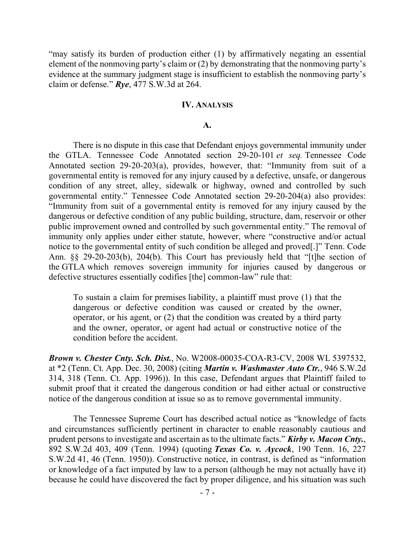"may satisfy its burden of production either (1) by affirmatively negating an essential element of the nonmoving party's claim or (2) by demonstrating that the nonmoving party's evidence at the summary judgment stage is insufficient to establish the nonmoving party's claim or defense." *Rye*, 477 S.W.3d at 264.

#### **IV. ANALYSIS**

#### **A.**

There is no dispute in this case that Defendant enjoys governmental immunity under the GTLA. Tennessee Code Annotated section 29-20-101 *et seq.* Tennessee Code Annotated section 29-20-203(a), provides, however, that: "Immunity from suit of a governmental entity is removed for any injury caused by a defective, unsafe, or dangerous condition of any street, alley, sidewalk or highway, owned and controlled by such governmental entity." Tennessee Code Annotated section 29-20-204(a) also provides: "Immunity from suit of a governmental entity is removed for any injury caused by the dangerous or defective condition of any public building, structure, dam, reservoir or other public improvement owned and controlled by such governmental entity." The removal of immunity only applies under either statute, however, where "constructive and/or actual notice to the governmental entity of such condition be alleged and proved[.]" Tenn. Code Ann. §§ 29-20-203(b), 204(b). This Court has previously held that "[t]he section of the GTLA which removes sovereign immunity for injuries caused by dangerous or defective structures essentially codifies [the] common-law" rule that:

To sustain a claim for premises liability, a plaintiff must prove (1) that the dangerous or defective condition was caused or created by the owner, operator, or his agent, or (2) that the condition was created by a third party and the owner, operator, or agent had actual or constructive notice of the condition before the accident.

*Brown v. Chester Cnty. Sch. Dist.*, No. W2008-00035-COA-R3-CV, 2008 WL 5397532, at \*2 (Tenn. Ct. App. Dec. 30, 2008) (citing *Martin v. Washmaster Auto Ctr.*, 946 S.W.2d 314, 318 (Tenn. Ct. App. 1996)). In this case, Defendant argues that Plaintiff failed to submit proof that it created the dangerous condition or had either actual or constructive notice of the dangerous condition at issue so as to remove governmental immunity.

The Tennessee Supreme Court has described actual notice as "knowledge of facts and circumstances sufficiently pertinent in character to enable reasonably cautious and prudent persons to investigate and ascertain as to the ultimate facts." *Kirby v. Macon Cnty.*, 892 S.W.2d 403, 409 (Tenn. 1994) (quoting *Texas Co. v. Aycock*, 190 Tenn. 16, 227 S.W.2d 41, 46 (Tenn. 1950)). Constructive notice, in contrast, is defined as "information or knowledge of a fact imputed by law to a person (although he may not actually have it) because he could have discovered the fact by proper diligence, and his situation was such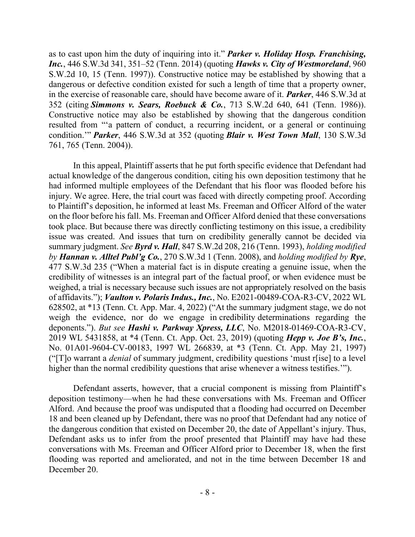as to cast upon him the duty of inquiring into it." *Parker v. Holiday Hosp. Franchising, Inc.*, 446 S.W.3d 341, 351–52 (Tenn. 2014) (quoting *Hawks v. City of Westmoreland*, 960 S.W.2d 10, 15 (Tenn. 1997)). Constructive notice may be established by showing that a dangerous or defective condition existed for such a length of time that a property owner, in the exercise of reasonable care, should have become aware of it. *Parker*, 446 S.W.3d at 352 (citing *Simmons v. Sears, Roebuck & Co.*, 713 S.W.2d 640, 641 (Tenn. 1986)). Constructive notice may also be established by showing that the dangerous condition resulted from "'a pattern of conduct, a recurring incident, or a general or continuing condition.'" *Parker*, 446 S.W.3d at 352 (quoting *Blair v. West Town Mall*, 130 S.W.3d 761, 765 (Tenn. 2004)).

In this appeal, Plaintiff asserts that he put forth specific evidence that Defendant had actual knowledge of the dangerous condition, citing his own deposition testimony that he had informed multiple employees of the Defendant that his floor was flooded before his injury. We agree. Here, the trial court was faced with directly competing proof. According to Plaintiff's deposition, he informed at least Ms. Freeman and Officer Alford of the water on the floor before his fall. Ms. Freeman and Officer Alford denied that these conversations took place. But because there was directly conflicting testimony on this issue, a credibility issue was created. And issues that turn on credibility generally cannot be decided via summary judgment. *See Byrd v. Hall*, 847 S.W.2d 208, 216 (Tenn. 1993), *holding modified by Hannan v. Alltel Publ'g Co.*, 270 S.W.3d 1 (Tenn. 2008), and *holding modified by Rye*, 477 S.W.3d 235 ("When a material fact is in dispute creating a genuine issue, when the credibility of witnesses is an integral part of the factual proof, or when evidence must be weighed, a trial is necessary because such issues are not appropriately resolved on the basis of affidavits."); *Vaulton v. Polaris Indus., Inc.*, No. E2021-00489-COA-R3-CV, 2022 WL 628502, at \*13 (Tenn. Ct. App. Mar. 4, 2022) ("At the summary judgment stage, we do not weigh the evidence, nor do we engage in credibility determinations regarding the deponents."). *But see Hashi v. Parkway Xpress, LLC*, No. M2018-01469-COA-R3-CV, 2019 WL 5431858, at \*4 (Tenn. Ct. App. Oct. 23, 2019) (quoting *Hepp v. Joe B's, Inc.*, No. 01A01-9604-CV-00183, 1997 WL 266839, at \*3 (Tenn. Ct. App. May 21, 1997) ("[T]o warrant a *denial* of summary judgment, credibility questions 'must r[ise] to a level higher than the normal credibility questions that arise whenever a witness testifies.'").

Defendant asserts, however, that a crucial component is missing from Plaintiff's deposition testimony—when he had these conversations with Ms. Freeman and Officer Alford. And because the proof was undisputed that a flooding had occurred on December 18 and been cleaned up by Defendant, there was no proof that Defendant had any notice of the dangerous condition that existed on December 20, the date of Appellant's injury. Thus, Defendant asks us to infer from the proof presented that Plaintiff may have had these conversations with Ms. Freeman and Officer Alford prior to December 18, when the first flooding was reported and ameliorated, and not in the time between December 18 and December 20.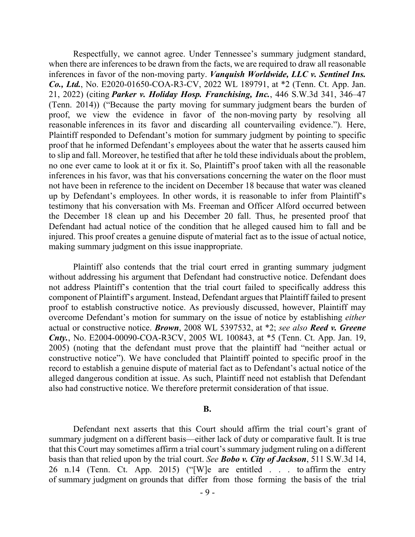Respectfully, we cannot agree. Under Tennessee's summary judgment standard, when there are inferences to be drawn from the facts, we are required to draw all reasonable inferences in favor of the non-moving party. *Vanquish Worldwide, LLC v. Sentinel Ins. Co., Ltd.*, No. E2020-01650-COA-R3-CV, 2022 WL 189791, at \*2 (Tenn. Ct. App. Jan. 21, 2022) (citing *Parker v. Holiday Hosp. Franchising, Inc.*, 446 S.W.3d 341, 346–47 (Tenn. 2014)) ("Because the party moving for summary judgment bears the burden of proof, we view the evidence in favor of the non-moving party by resolving all reasonable inferences in its favor and discarding all countervailing evidence."). Here, Plaintiff responded to Defendant's motion for summary judgment by pointing to specific proof that he informed Defendant's employees about the water that he asserts caused him to slip and fall. Moreover, he testified that after he told these individuals about the problem, no one ever came to look at it or fix it. So, Plaintiff's proof taken with all the reasonable inferences in his favor, was that his conversations concerning the water on the floor must not have been in reference to the incident on December 18 because that water was cleaned up by Defendant's employees. In other words, it is reasonable to infer from Plaintiff's testimony that his conversation with Ms. Freeman and Officer Alford occurred between the December 18 clean up and his December 20 fall. Thus, he presented proof that Defendant had actual notice of the condition that he alleged caused him to fall and be injured. This proof creates a genuine dispute of material fact as to the issue of actual notice, making summary judgment on this issue inappropriate.

Plaintiff also contends that the trial court erred in granting summary judgment without addressing his argument that Defendant had constructive notice. Defendant does not address Plaintiff's contention that the trial court failed to specifically address this component of Plaintiff's argument. Instead, Defendant argues that Plaintiff failed to present proof to establish constructive notice. As previously discussed, however, Plaintiff may overcome Defendant's motion for summary on the issue of notice by establishing *either* actual or constructive notice. *Brown*, 2008 WL 5397532, at \*2; *see also Reed v. Greene Cnty.*, No. E2004-00090-COA-R3CV, 2005 WL 100843, at \*5 (Tenn. Ct. App. Jan. 19, 2005) (noting that the defendant must prove that the plaintiff had "neither actual or constructive notice"). We have concluded that Plaintiff pointed to specific proof in the record to establish a genuine dispute of material fact as to Defendant's actual notice of the alleged dangerous condition at issue. As such, Plaintiff need not establish that Defendant also had constructive notice. We therefore pretermit consideration of that issue.

#### **B.**

Defendant next asserts that this Court should affirm the trial court's grant of summary judgment on a different basis—either lack of duty or comparative fault. It is true that this Court may sometimes affirm a trial court's summary judgment ruling on a different basis than that relied upon by the trial court. *See Bobo v. City of Jackson*, 511 S.W.3d 14, 26 n.14 (Tenn. Ct. App. 2015) ("[W]e are entitled . . . to affirm the entry of summary judgment on grounds that differ from those forming the basis of the trial